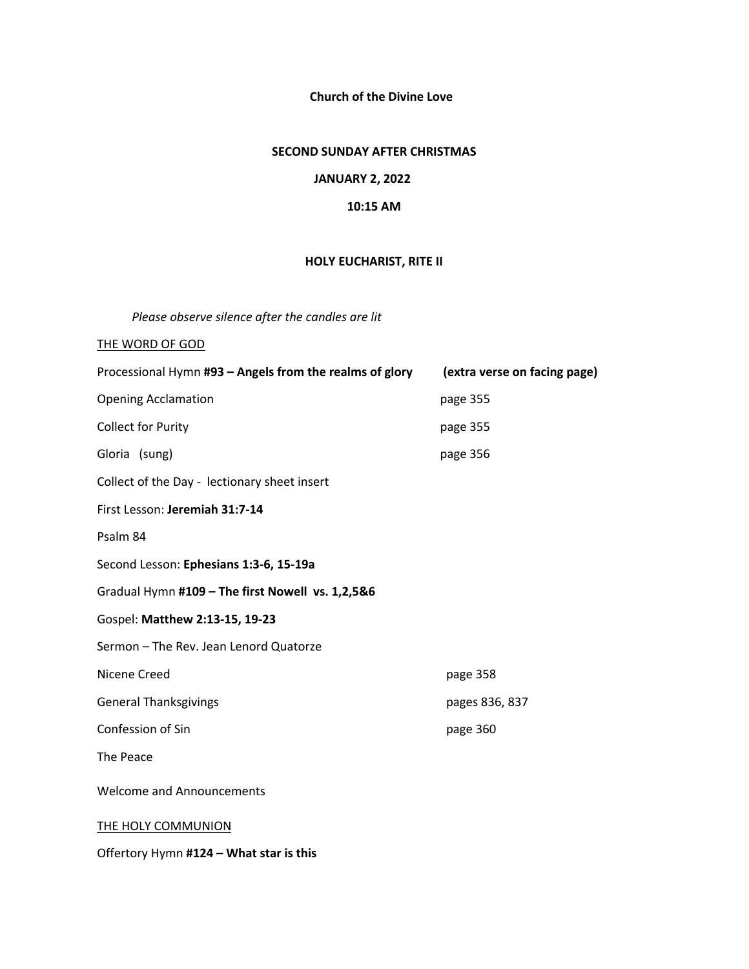**Church of the Divine Love**

## **SECOND SUNDAY AFTER CHRISTMAS**

### **JANUARY 2, 2022**

#### **10:15 AM**

# **HOLY EUCHARIST, RITE II**

*Please observe silence after the candles are lit* 

## THE WORD OF GOD

| Processional Hymn #93 - Angels from the realms of glory | (extra verse on facing page) |
|---------------------------------------------------------|------------------------------|
| <b>Opening Acclamation</b>                              | page 355                     |
| <b>Collect for Purity</b>                               | page 355                     |
| Gloria (sung)                                           | page 356                     |
| Collect of the Day - lectionary sheet insert            |                              |
| First Lesson: Jeremiah 31:7-14                          |                              |
| Psalm 84                                                |                              |
| Second Lesson: Ephesians 1:3-6, 15-19a                  |                              |
| Gradual Hymn #109 - The first Nowell vs. 1,2,5&6        |                              |
| Gospel: Matthew 2:13-15, 19-23                          |                              |
| Sermon - The Rev. Jean Lenord Quatorze                  |                              |
| Nicene Creed                                            | page 358                     |
| <b>General Thanksgivings</b>                            | pages 836, 837               |
| Confession of Sin                                       | page 360                     |
| The Peace                                               |                              |
| <b>Welcome and Announcements</b>                        |                              |
| <b>THE HOLY COMMUNION</b>                               |                              |

Offertory Hymn **#124 – What star is this**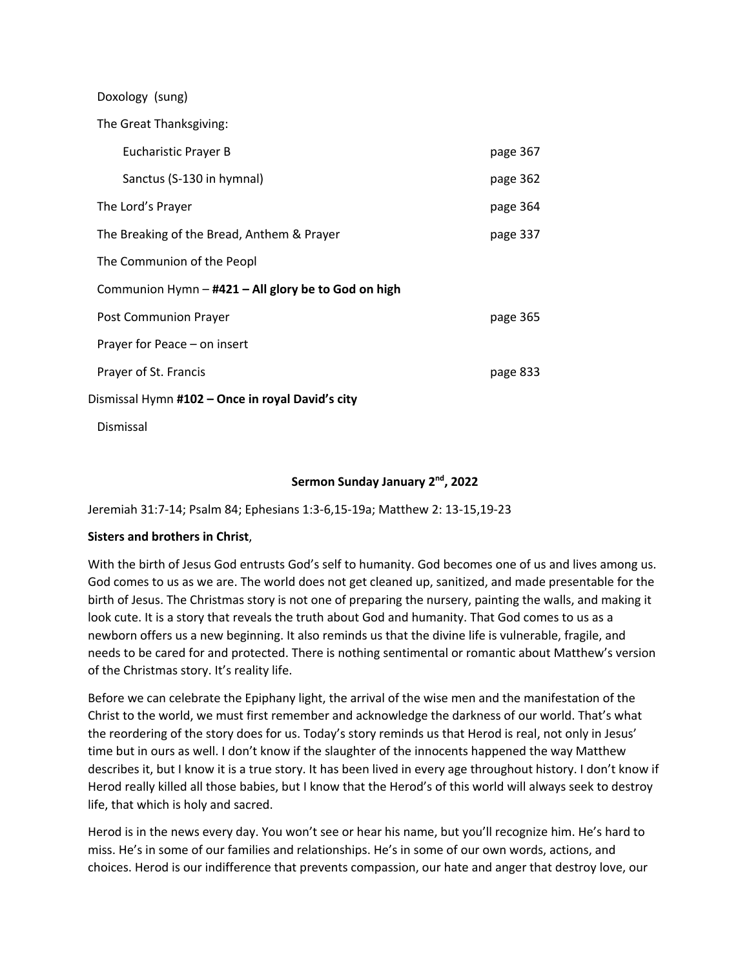| Doxology (sung)                                     |          |
|-----------------------------------------------------|----------|
| The Great Thanksgiving:                             |          |
| Eucharistic Prayer B                                | page 367 |
| Sanctus (S-130 in hymnal)                           | page 362 |
| The Lord's Prayer                                   | page 364 |
| The Breaking of the Bread, Anthem & Prayer          | page 337 |
| The Communion of the Peopl                          |          |
| Communion Hymn - #421 - All glory be to God on high |          |
| <b>Post Communion Prayer</b>                        | page 365 |
| Prayer for Peace - on insert                        |          |
| Prayer of St. Francis                               | page 833 |
| Dismissal Hymn #102 – Once in royal David's city    |          |
|                                                     |          |

# **Sermon Sunday January 2nd, 2022**

Jeremiah 31:7-14; Psalm 84; Ephesians 1:3-6,15-19a; Matthew 2: 13-15,19-23

#### **Sisters and brothers in Christ**,

Dismissal

With the birth of Jesus God entrusts God's self to humanity. God becomes one of us and lives among us. God comes to us as we are. The world does not get cleaned up, sanitized, and made presentable for the birth of Jesus. The Christmas story is not one of preparing the nursery, painting the walls, and making it look cute. It is a story that reveals the truth about God and humanity. That God comes to us as a newborn offers us a new beginning. It also reminds us that the divine life is vulnerable, fragile, and needs to be cared for and protected. There is nothing sentimental or romantic about Matthew's version of the Christmas story. It's reality life.

Before we can celebrate the Epiphany light, the arrival of the wise men and the manifestation of the Christ to the world, we must first remember and acknowledge the darkness of our world. That's what the reordering of the story does for us. Today's story reminds us that Herod is real, not only in Jesus' time but in ours as well. I don't know if the slaughter of the innocents happened the way Matthew describes it, but I know it is a true story. It has been lived in every age throughout history. I don't know if Herod really killed all those babies, but I know that the Herod's of this world will always seek to destroy life, that which is holy and sacred.

Herod is in the news every day. You won't see or hear his name, but you'll recognize him. He's hard to miss. He's in some of our families and relationships. He's in some of our own words, actions, and choices. Herod is our indifference that prevents compassion, our hate and anger that destroy love, our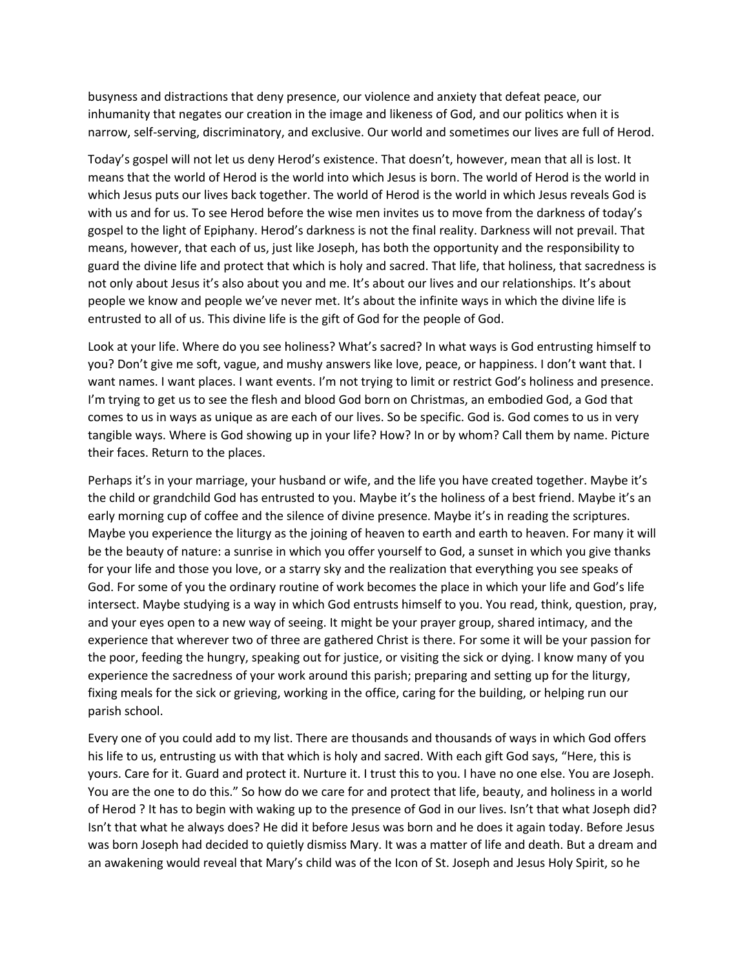busyness and distractions that deny presence, our violence and anxiety that defeat peace, our inhumanity that negates our creation in the image and likeness of God, and our politics when it is narrow, self-serving, discriminatory, and exclusive. Our world and sometimes our lives are full of Herod.

Today's gospel will not let us deny Herod's existence. That doesn't, however, mean that all is lost. It means that the world of Herod is the world into which Jesus is born. The world of Herod is the world in which Jesus puts our lives back together. The world of Herod is the world in which Jesus reveals God is with us and for us. To see Herod before the wise men invites us to move from the darkness of today's gospel to the light of Epiphany. Herod's darkness is not the final reality. Darkness will not prevail. That means, however, that each of us, just like Joseph, has both the opportunity and the responsibility to guard the divine life and protect that which is holy and sacred. That life, that holiness, that sacredness is not only about Jesus it's also about you and me. It's about our lives and our relationships. It's about people we know and people we've never met. It's about the infinite ways in which the divine life is entrusted to all of us. This divine life is the gift of God for the people of God.

Look at your life. Where do you see holiness? What's sacred? In what ways is God entrusting himself to you? Don't give me soft, vague, and mushy answers like love, peace, or happiness. I don't want that. I want names. I want places. I want events. I'm not trying to limit or restrict God's holiness and presence. I'm trying to get us to see the flesh and blood God born on Christmas, an embodied God, a God that comes to us in ways as unique as are each of our lives. So be specific. God is. God comes to us in very tangible ways. Where is God showing up in your life? How? In or by whom? Call them by name. Picture their faces. Return to the places.

Perhaps it's in your marriage, your husband or wife, and the life you have created together. Maybe it's the child or grandchild God has entrusted to you. Maybe it's the holiness of a best friend. Maybe it's an early morning cup of coffee and the silence of divine presence. Maybe it's in reading the scriptures. Maybe you experience the liturgy as the joining of heaven to earth and earth to heaven. For many it will be the beauty of nature: a sunrise in which you offer yourself to God, a sunset in which you give thanks for your life and those you love, or a starry sky and the realization that everything you see speaks of God. For some of you the ordinary routine of work becomes the place in which your life and God's life intersect. Maybe studying is a way in which God entrusts himself to you. You read, think, question, pray, and your eyes open to a new way of seeing. It might be your prayer group, shared intimacy, and the experience that wherever two of three are gathered Christ is there. For some it will be your passion for the poor, feeding the hungry, speaking out for justice, or visiting the sick or dying. I know many of you experience the sacredness of your work around this parish; preparing and setting up for the liturgy, fixing meals for the sick or grieving, working in the office, caring for the building, or helping run our parish school.

Every one of you could add to my list. There are thousands and thousands of ways in which God offers his life to us, entrusting us with that which is holy and sacred. With each gift God says, "Here, this is yours. Care for it. Guard and protect it. Nurture it. I trust this to you. I have no one else. You are Joseph. You are the one to do this." So how do we care for and protect that life, beauty, and holiness in a world of Herod ? It has to begin with waking up to the presence of God in our lives. Isn't that what Joseph did? Isn't that what he always does? He did it before Jesus was born and he does it again today. Before Jesus was born Joseph had decided to quietly dismiss Mary. It was a matter of life and death. But a dream and an awakening would reveal that Mary's child was of the Icon of St. Joseph and Jesus Holy Spirit, so he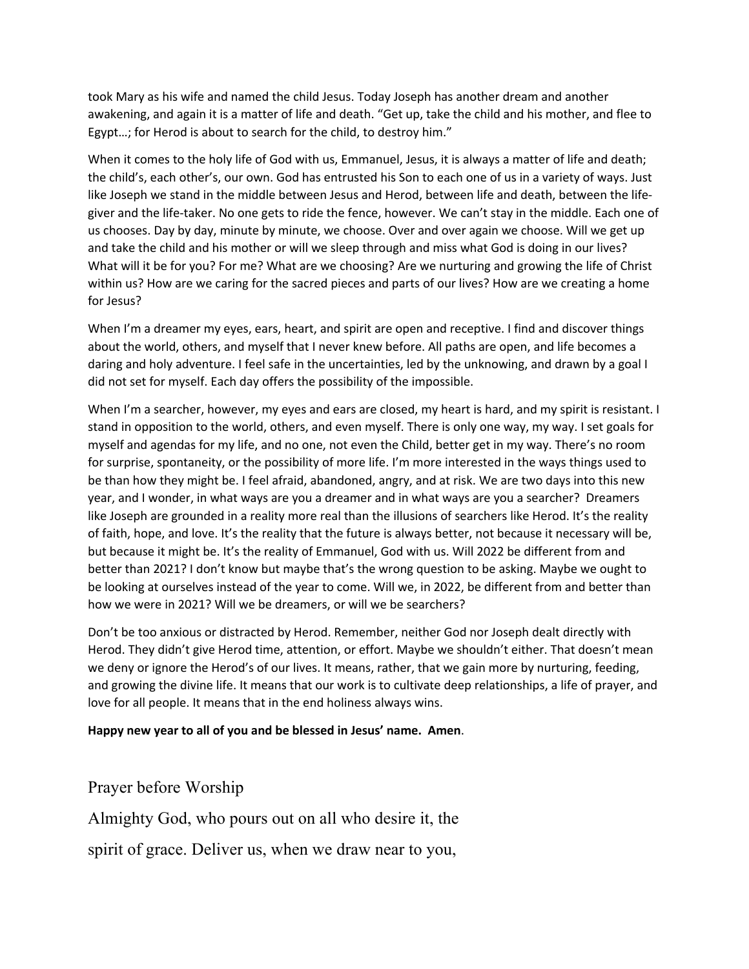took Mary as his wife and named the child Jesus. Today Joseph has another dream and another awakening, and again it is a matter of life and death. "Get up, take the child and his mother, and flee to Egypt…; for Herod is about to search for the child, to destroy him."

When it comes to the holy life of God with us, Emmanuel, Jesus, it is always a matter of life and death; the child's, each other's, our own. God has entrusted his Son to each one of us in a variety of ways. Just like Joseph we stand in the middle between Jesus and Herod, between life and death, between the lifegiver and the life-taker. No one gets to ride the fence, however. We can't stay in the middle. Each one of us chooses. Day by day, minute by minute, we choose. Over and over again we choose. Will we get up and take the child and his mother or will we sleep through and miss what God is doing in our lives? What will it be for you? For me? What are we choosing? Are we nurturing and growing the life of Christ within us? How are we caring for the sacred pieces and parts of our lives? How are we creating a home for Jesus?

When I'm a dreamer my eyes, ears, heart, and spirit are open and receptive. I find and discover things about the world, others, and myself that I never knew before. All paths are open, and life becomes a daring and holy adventure. I feel safe in the uncertainties, led by the unknowing, and drawn by a goal I did not set for myself. Each day offers the possibility of the impossible.

When I'm a searcher, however, my eyes and ears are closed, my heart is hard, and my spirit is resistant. I stand in opposition to the world, others, and even myself. There is only one way, my way. I set goals for myself and agendas for my life, and no one, not even the Child, better get in my way. There's no room for surprise, spontaneity, or the possibility of more life. I'm more interested in the ways things used to be than how they might be. I feel afraid, abandoned, angry, and at risk. We are two days into this new year, and I wonder, in what ways are you a dreamer and in what ways are you a searcher? Dreamers like Joseph are grounded in a reality more real than the illusions of searchers like Herod. It's the reality of faith, hope, and love. It's the reality that the future is always better, not because it necessary will be, but because it might be. It's the reality of Emmanuel, God with us. Will 2022 be different from and better than 2021? I don't know but maybe that's the wrong question to be asking. Maybe we ought to be looking at ourselves instead of the year to come. Will we, in 2022, be different from and better than how we were in 2021? Will we be dreamers, or will we be searchers?

Don't be too anxious or distracted by Herod. Remember, neither God nor Joseph dealt directly with Herod. They didn't give Herod time, attention, or effort. Maybe we shouldn't either. That doesn't mean we deny or ignore the Herod's of our lives. It means, rather, that we gain more by nurturing, feeding, and growing the divine life. It means that our work is to cultivate deep relationships, a life of prayer, and love for all people. It means that in the end holiness always wins.

#### **Happy new year to all of you and be blessed in Jesus' name. Amen**.

Prayer before Worship

Almighty God, who pours out on all who desire it, the

spirit of grace. Deliver us, when we draw near to you,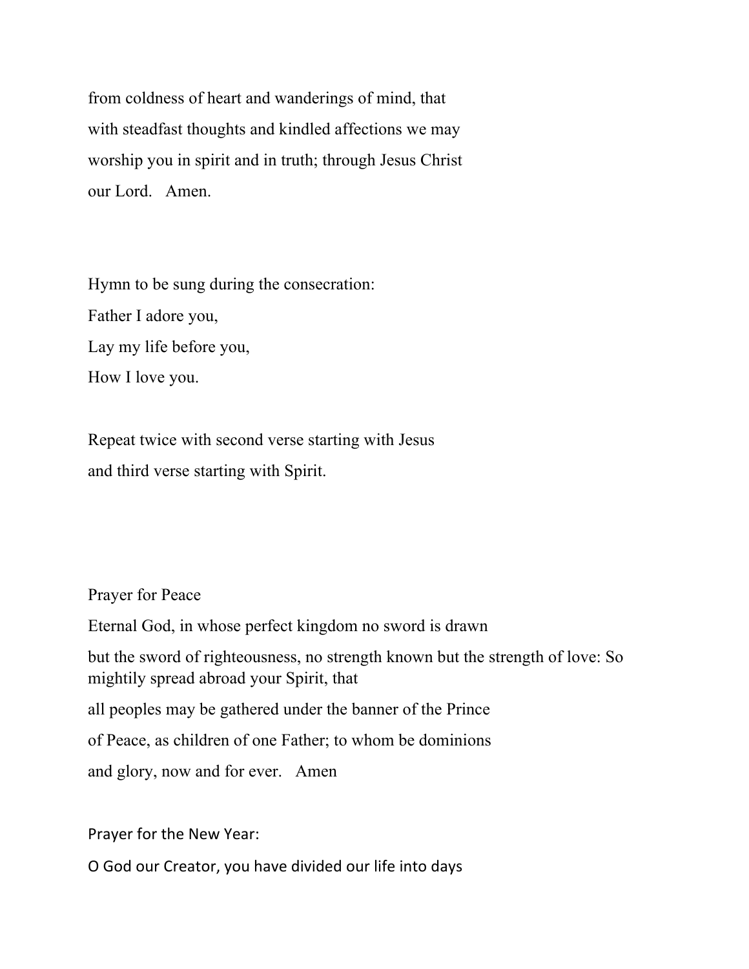from coldness of heart and wanderings of mind, that with steadfast thoughts and kindled affections we may worship you in spirit and in truth; through Jesus Christ our Lord. Amen.

Hymn to be sung during the consecration: Father I adore you, Lay my life before you, How I love you.

Repeat twice with second verse starting with Jesus and third verse starting with Spirit.

Prayer for Peace

Eternal God, in whose perfect kingdom no sword is drawn

but the sword of righteousness, no strength known but the strength of love: So mightily spread abroad your Spirit, that

all peoples may be gathered under the banner of the Prince

of Peace, as children of one Father; to whom be dominions

and glory, now and for ever. Amen

Prayer for the New Year:

O God our Creator, you have divided our life into days